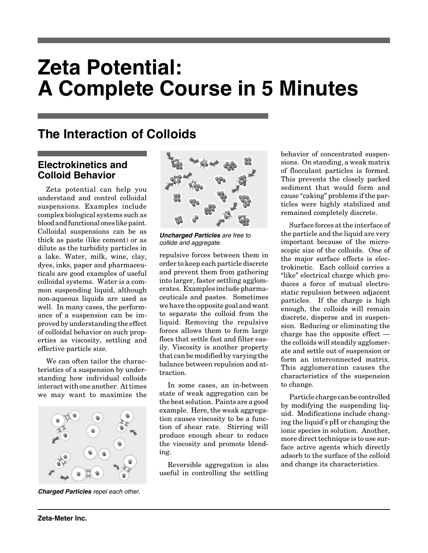# **Zeta Potential: A Complete Course in 5 Minutes**

## **The Interaction of Colloids**

### **Electrokinetics and Colloid Behavior**

Zeta potential can help you understand and control colloidal suspensions. Examples include complex biological systems such as blood and functional ones like paint. Colloidal suspensions can be as thick as paste (like cement) or as dilute as the turbidity particles in a lake. Water, milk, wine, clay, dyes, inks, paper and pharmaceuticals are good examples of useful colloidal systems. Water is a common suspending liquid, although non-aqueous liquids are used as well. In many cases, the performance of a suspension can be improved by understanding the effect of colloidal behavior on such properties as viscosity, settling and effective particle size.

We can often tailor the characteristics of a suspension by understanding how individual colloids interact with one another. At times we may want to maximize the



**Charged Particles** repel each other.



**Uncharged Particles** are free to collide and aggregate.

repulsive forces between them in order to keep each particle discrete and prevent them from gathering into larger, faster settling agglomerates. Examples include pharmaceuticals and pastes. Sometimes we have the opposite goal and want to separate the colloid from the liquid. Removing the repulsive forces allows them to form large flocs that settle fast and filter easily. Viscosity is another property that can be modified by varying the balance between repulsion and attraction.

In some cases, an in-between state of weak aggregation can be the best solution. Paints are a good example. Here, the weak aggregation causes viscosity to be a function of shear rate. Stirring will produce enough shear to reduce the viscosity and promote blending.

Reversible aggregation is also useful in controlling the settling behavior of concentrated suspensions. On standing, a weak matrix of flocculant particles is formed. This prevents the closely packed sediment that would form and cause "caking" problems if the particles were highly stabilized and remained completely discrete.

Surface forces at the interface of the particle and the liquid are very important because of the microscopic size of the colloids. One of the major surface effects is electrokinetic. Each colloid carries a "like" electrical charge which produces a force of mutual electrostatic repulsion between adjacent particles. If the charge is high enough, the colloids will remain discrete, disperse and in suspension. Reducing or eliminating the charge has the opposite effect the colloids will steadily agglomerate and settle out of suspension or form an interconnected matrix. This agglomeration causes the characteristics of the suspension to change.

Particle charge can be controlled by modifying the suspending liquid. Modifications include changing the liquid's pH or changing the ionic species in solution. Another, more direct technique is to use surface active agents which directly adsorb to the surface of the colloid and change its characteristics.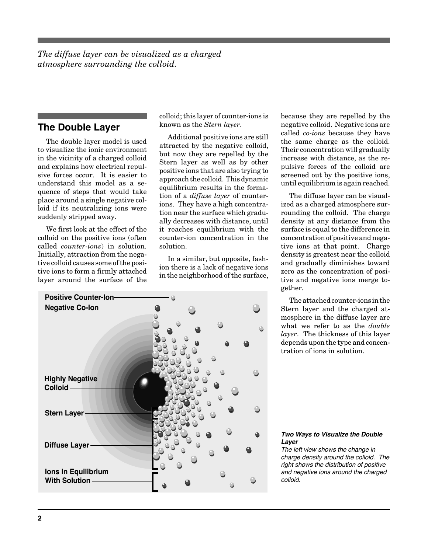*The diffuse layer can be visualized as a charged atmosphere surrounding the colloid.*

#### **The Double Layer**

The double layer model is used to visualize the ionic environment in the vicinity of a charged colloid and explains how electrical repulsive forces occur. It is easier to understand this model as a sequence of steps that would take place around a single negative colloid if its neutralizing ions were suddenly stripped away.

We first look at the effect of the colloid on the positive ions (often called *counter-ions*) in solution. Initially, attraction from the negative colloid causes some of the positive ions to form a firmly attached layer around the surface of the colloid; this layer of counter-ions is known as the *Stern layer*.

Additional positive ions are still attracted by the negative colloid, but now they are repelled by the Stern layer as well as by other positive ions that are also trying to approach the colloid. This dynamic equilibrium results in the formation of a *diffuse layer* of counterions. They have a high concentration near the surface which gradually decreases with distance, until it reaches equilibrium with the counter-ion concentration in the solution.

In a similar, but opposite, fashion there is a lack of negative ions in the neighborhood of the surface,



because they are repelled by the negative colloid. Negative ions are called *co-ions* because they have the same charge as the colloid. Their concentration will gradually increase with distance, as the repulsive forces of the colloid are screened out by the positive ions, until equilibrium is again reached.

The diffuse layer can be visualized as a charged atmosphere surrounding the colloid. The charge density at any distance from the surface is equal to the difference in concentration of positive and negative ions at that point. Charge density is greatest near the colloid and gradually diminishes toward zero as the concentration of positive and negative ions merge together.

The attached counter-ions in the Stern layer and the charged atmosphere in the diffuse layer are what we refer to as the *double layer*. The thickness of this layer depends upon the type and concentration of ions in solution.

#### **Two Ways to Visualize the Double Layer**

The left view shows the change in charge density around the colloid. The right shows the distribution of positive and negative ions around the charged colloid.